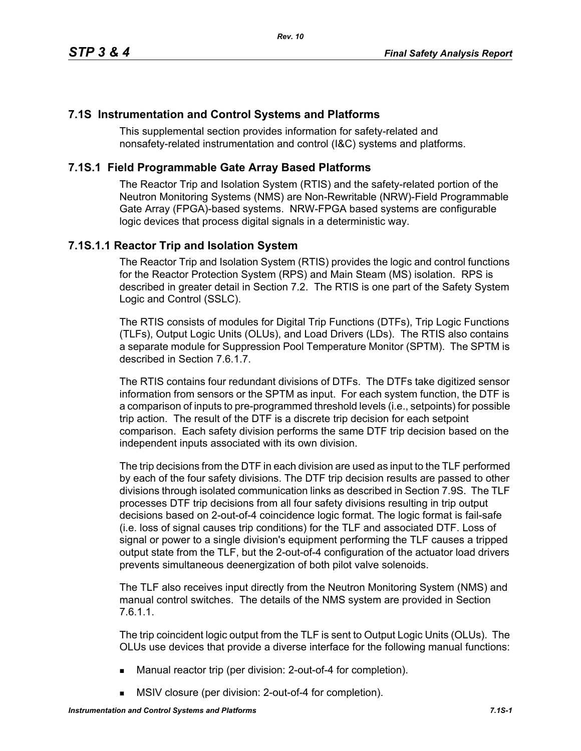## **7.1S Instrumentation and Control Systems and Platforms**

This supplemental section provides information for safety-related and nonsafety-related instrumentation and control (I&C) systems and platforms.

## **7.1S.1 Field Programmable Gate Array Based Platforms**

The Reactor Trip and Isolation System (RTIS) and the safety-related portion of the Neutron Monitoring Systems (NMS) are Non-Rewritable (NRW)-Field Programmable Gate Array (FPGA)-based systems. NRW-FPGA based systems are configurable logic devices that process digital signals in a deterministic way.

## **7.1S.1.1 Reactor Trip and Isolation System**

The Reactor Trip and Isolation System (RTIS) provides the logic and control functions for the Reactor Protection System (RPS) and Main Steam (MS) isolation. RPS is described in greater detail in Section 7.2. The RTIS is one part of the Safety System Logic and Control (SSLC).

The RTIS consists of modules for Digital Trip Functions (DTFs), Trip Logic Functions (TLFs), Output Logic Units (OLUs), and Load Drivers (LDs). The RTIS also contains a separate module for Suppression Pool Temperature Monitor (SPTM). The SPTM is described in Section 7.6.1.7.

The RTIS contains four redundant divisions of DTFs. The DTFs take digitized sensor information from sensors or the SPTM as input. For each system function, the DTF is a comparison of inputs to pre-programmed threshold levels (i.e., setpoints) for possible trip action. The result of the DTF is a discrete trip decision for each setpoint comparison. Each safety division performs the same DTF trip decision based on the independent inputs associated with its own division.

The trip decisions from the DTF in each division are used as input to the TLF performed by each of the four safety divisions. The DTF trip decision results are passed to other divisions through isolated communication links as described in Section 7.9S. The TLF processes DTF trip decisions from all four safety divisions resulting in trip output decisions based on 2-out-of-4 coincidence logic format. The logic format is fail-safe (i.e. loss of signal causes trip conditions) for the TLF and associated DTF. Loss of signal or power to a single division's equipment performing the TLF causes a tripped output state from the TLF, but the 2-out-of-4 configuration of the actuator load drivers prevents simultaneous deenergization of both pilot valve solenoids.

The TLF also receives input directly from the Neutron Monitoring System (NMS) and manual control switches. The details of the NMS system are provided in Section 7.6.1.1.

The trip coincident logic output from the TLF is sent to Output Logic Units (OLUs). The OLUs use devices that provide a diverse interface for the following manual functions:

- Manual reactor trip (per division: 2-out-of-4 for completion).
- **MSIV** closure (per division: 2-out-of-4 for completion).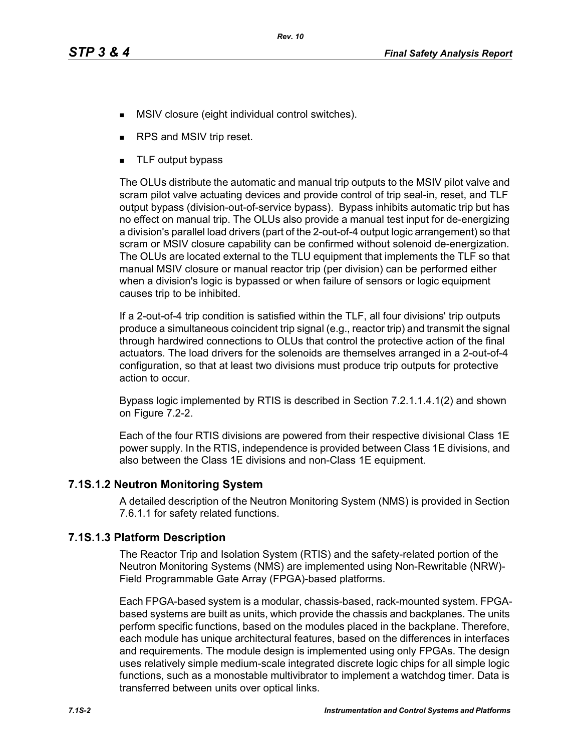- **MSIV** closure (eight individual control switches).
- RPS and MSIV trip reset.
- **TLF** output bypass

The OLUs distribute the automatic and manual trip outputs to the MSIV pilot valve and scram pilot valve actuating devices and provide control of trip seal-in, reset, and TLF output bypass (division-out-of-service bypass). Bypass inhibits automatic trip but has no effect on manual trip. The OLUs also provide a manual test input for de-energizing a division's parallel load drivers (part of the 2-out-of-4 output logic arrangement) so that scram or MSIV closure capability can be confirmed without solenoid de-energization. The OLUs are located external to the TLU equipment that implements the TLF so that manual MSIV closure or manual reactor trip (per division) can be performed either when a division's logic is bypassed or when failure of sensors or logic equipment causes trip to be inhibited.

If a 2-out-of-4 trip condition is satisfied within the TLF, all four divisions' trip outputs produce a simultaneous coincident trip signal (e.g., reactor trip) and transmit the signal through hardwired connections to OLUs that control the protective action of the final actuators. The load drivers for the solenoids are themselves arranged in a 2-out-of-4 configuration, so that at least two divisions must produce trip outputs for protective action to occur.

Bypass logic implemented by RTIS is described in Section 7.2.1.1.4.1(2) and shown on Figure 7.2-2.

Each of the four RTIS divisions are powered from their respective divisional Class 1E power supply. In the RTIS, independence is provided between Class 1E divisions, and also between the Class 1E divisions and non-Class 1E equipment.

## **7.1S.1.2 Neutron Monitoring System**

A detailed description of the Neutron Monitoring System (NMS) is provided in Section 7.6.1.1 for safety related functions.

## **7.1S.1.3 Platform Description**

The Reactor Trip and Isolation System (RTIS) and the safety-related portion of the Neutron Monitoring Systems (NMS) are implemented using Non-Rewritable (NRW)- Field Programmable Gate Array (FPGA)-based platforms.

Each FPGA-based system is a modular, chassis-based, rack-mounted system. FPGAbased systems are built as units, which provide the chassis and backplanes. The units perform specific functions, based on the modules placed in the backplane. Therefore, each module has unique architectural features, based on the differences in interfaces and requirements. The module design is implemented using only FPGAs. The design uses relatively simple medium-scale integrated discrete logic chips for all simple logic functions, such as a monostable multivibrator to implement a watchdog timer. Data is transferred between units over optical links.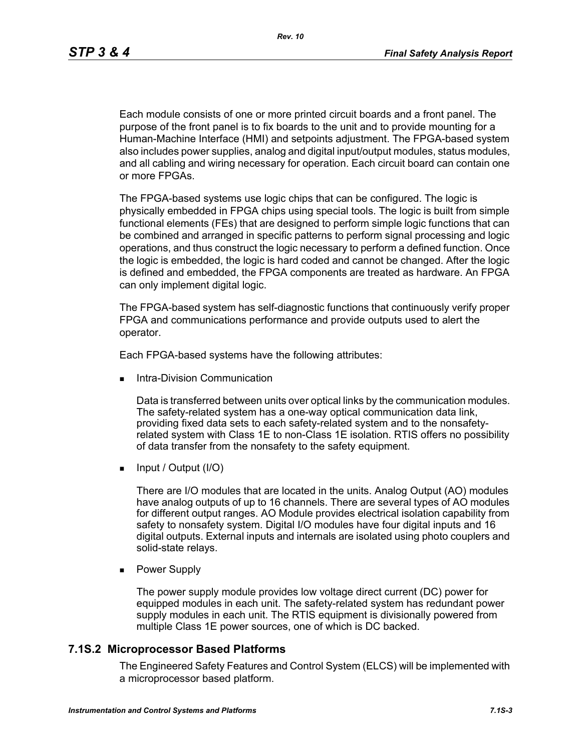Each module consists of one or more printed circuit boards and a front panel. The purpose of the front panel is to fix boards to the unit and to provide mounting for a Human-Machine Interface (HMI) and setpoints adjustment. The FPGA-based system also includes power supplies, analog and digital input/output modules, status modules, and all cabling and wiring necessary for operation. Each circuit board can contain one or more FPGAs.

The FPGA-based systems use logic chips that can be configured. The logic is physically embedded in FPGA chips using special tools. The logic is built from simple functional elements (FEs) that are designed to perform simple logic functions that can be combined and arranged in specific patterns to perform signal processing and logic operations, and thus construct the logic necessary to perform a defined function. Once the logic is embedded, the logic is hard coded and cannot be changed. After the logic is defined and embedded, the FPGA components are treated as hardware. An FPGA can only implement digital logic.

The FPGA-based system has self-diagnostic functions that continuously verify proper FPGA and communications performance and provide outputs used to alert the operator.

Each FPGA-based systems have the following attributes:

Intra-Division Communication

Data is transferred between units over optical links by the communication modules. The safety-related system has a one-way optical communication data link, providing fixed data sets to each safety-related system and to the nonsafetyrelated system with Class 1E to non-Class 1E isolation. RTIS offers no possibility of data transfer from the nonsafety to the safety equipment.

 $\blacksquare$  Input / Output (I/O)

There are I/O modules that are located in the units. Analog Output (AO) modules have analog outputs of up to 16 channels. There are several types of AO modules for different output ranges. AO Module provides electrical isolation capability from safety to nonsafety system. Digital I/O modules have four digital inputs and 16 digital outputs. External inputs and internals are isolated using photo couplers and solid-state relays.

**Power Supply** 

The power supply module provides low voltage direct current (DC) power for equipped modules in each unit. The safety-related system has redundant power supply modules in each unit. The RTIS equipment is divisionally powered from multiple Class 1E power sources, one of which is DC backed.

#### **7.1S.2 Microprocessor Based Platforms**

The Engineered Safety Features and Control System (ELCS) will be implemented with a microprocessor based platform.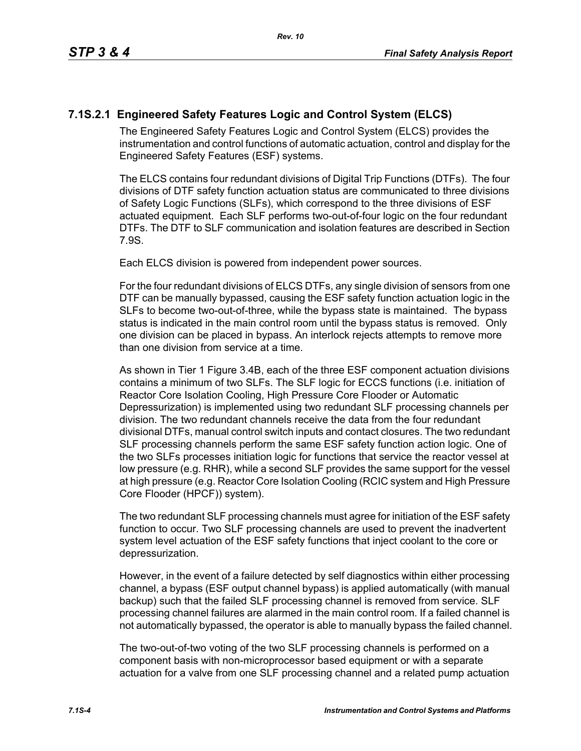# **7.1S.2.1 Engineered Safety Features Logic and Control System (ELCS)**

The Engineered Safety Features Logic and Control System (ELCS) provides the instrumentation and control functions of automatic actuation, control and display for the Engineered Safety Features (ESF) systems.

The ELCS contains four redundant divisions of Digital Trip Functions (DTFs). The four divisions of DTF safety function actuation status are communicated to three divisions of Safety Logic Functions (SLFs), which correspond to the three divisions of ESF actuated equipment. Each SLF performs two-out-of-four logic on the four redundant DTFs. The DTF to SLF communication and isolation features are described in Section 7.9S.

Each ELCS division is powered from independent power sources.

For the four redundant divisions of ELCS DTFs, any single division of sensors from one DTF can be manually bypassed, causing the ESF safety function actuation logic in the SLFs to become two-out-of-three, while the bypass state is maintained. The bypass status is indicated in the main control room until the bypass status is removed. Only one division can be placed in bypass. An interlock rejects attempts to remove more than one division from service at a time.

As shown in Tier 1 Figure 3.4B, each of the three ESF component actuation divisions contains a minimum of two SLFs. The SLF logic for ECCS functions (i.e. initiation of Reactor Core Isolation Cooling, High Pressure Core Flooder or Automatic Depressurization) is implemented using two redundant SLF processing channels per division. The two redundant channels receive the data from the four redundant divisional DTFs, manual control switch inputs and contact closures. The two redundant SLF processing channels perform the same ESF safety function action logic. One of the two SLFs processes initiation logic for functions that service the reactor vessel at low pressure (e.g. RHR), while a second SLF provides the same support for the vessel at high pressure (e.g. Reactor Core Isolation Cooling (RCIC system and High Pressure Core Flooder (HPCF)) system).

The two redundant SLF processing channels must agree for initiation of the ESF safety function to occur. Two SLF processing channels are used to prevent the inadvertent system level actuation of the ESF safety functions that inject coolant to the core or depressurization.

However, in the event of a failure detected by self diagnostics within either processing channel, a bypass (ESF output channel bypass) is applied automatically (with manual backup) such that the failed SLF processing channel is removed from service. SLF processing channel failures are alarmed in the main control room. If a failed channel is not automatically bypassed, the operator is able to manually bypass the failed channel.

The two-out-of-two voting of the two SLF processing channels is performed on a component basis with non-microprocessor based equipment or with a separate actuation for a valve from one SLF processing channel and a related pump actuation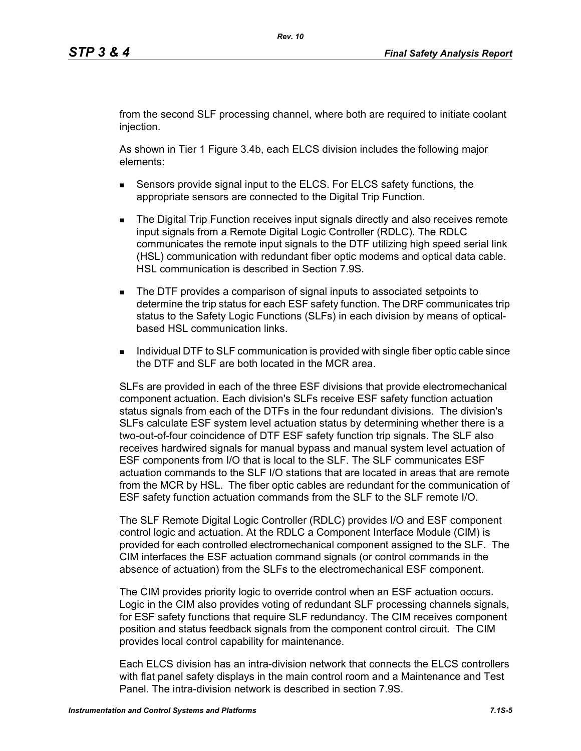from the second SLF processing channel, where both are required to initiate coolant injection.

As shown in Tier 1 Figure 3.4b, each ELCS division includes the following major elements:

- Sensors provide signal input to the ELCS. For ELCS safety functions, the appropriate sensors are connected to the Digital Trip Function.
- **The Digital Trip Function receives input signals directly and also receives remote** input signals from a Remote Digital Logic Controller (RDLC). The RDLC communicates the remote input signals to the DTF utilizing high speed serial link (HSL) communication with redundant fiber optic modems and optical data cable. HSL communication is described in Section 7.9S.
- The DTF provides a comparison of signal inputs to associated setpoints to determine the trip status for each ESF safety function. The DRF communicates trip status to the Safety Logic Functions (SLFs) in each division by means of opticalbased HSL communication links.
- **Individual DTF to SLF communication is provided with single fiber optic cable since** the DTF and SLF are both located in the MCR area.

SLFs are provided in each of the three ESF divisions that provide electromechanical component actuation. Each division's SLFs receive ESF safety function actuation status signals from each of the DTFs in the four redundant divisions. The division's SLFs calculate ESF system level actuation status by determining whether there is a two-out-of-four coincidence of DTF ESF safety function trip signals. The SLF also receives hardwired signals for manual bypass and manual system level actuation of ESF components from I/O that is local to the SLF. The SLF communicates ESF actuation commands to the SLF I/O stations that are located in areas that are remote from the MCR by HSL. The fiber optic cables are redundant for the communication of ESF safety function actuation commands from the SLF to the SLF remote I/O.

The SLF Remote Digital Logic Controller (RDLC) provides I/O and ESF component control logic and actuation. At the RDLC a Component Interface Module (CIM) is provided for each controlled electromechanical component assigned to the SLF. The CIM interfaces the ESF actuation command signals (or control commands in the absence of actuation) from the SLFs to the electromechanical ESF component.

The CIM provides priority logic to override control when an ESF actuation occurs. Logic in the CIM also provides voting of redundant SLF processing channels signals, for ESF safety functions that require SLF redundancy. The CIM receives component position and status feedback signals from the component control circuit. The CIM provides local control capability for maintenance.

Each ELCS division has an intra-division network that connects the ELCS controllers with flat panel safety displays in the main control room and a Maintenance and Test Panel. The intra-division network is described in section 7.9S.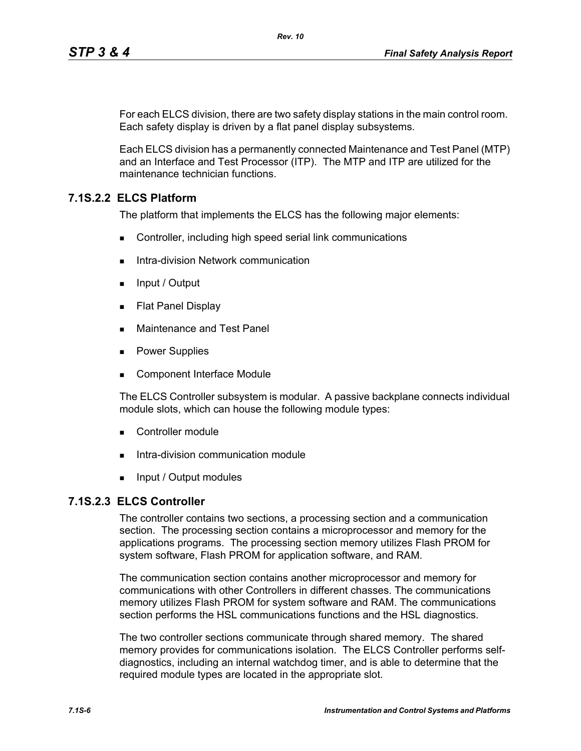For each ELCS division, there are two safety display stations in the main control room. Each safety display is driven by a flat panel display subsystems.

Each ELCS division has a permanently connected Maintenance and Test Panel (MTP) and an Interface and Test Processor (ITP). The MTP and ITP are utilized for the maintenance technician functions.

## **7.1S.2.2 ELCS Platform**

The platform that implements the ELCS has the following major elements:

- Controller, including high speed serial link communications
- Intra-division Network communication
- $\blacksquare$  Input / Output
- **Flat Panel Display**
- **Maintenance and Test Panel**
- **Power Supplies**
- Component Interface Module

The ELCS Controller subsystem is modular. A passive backplane connects individual module slots, which can house the following module types:

- Controller module
- Intra-division communication module
- **Input / Output modules**

## **7.1S.2.3 ELCS Controller**

The controller contains two sections, a processing section and a communication section. The processing section contains a microprocessor and memory for the applications programs. The processing section memory utilizes Flash PROM for system software, Flash PROM for application software, and RAM.

The communication section contains another microprocessor and memory for communications with other Controllers in different chasses. The communications memory utilizes Flash PROM for system software and RAM. The communications section performs the HSL communications functions and the HSL diagnostics.

The two controller sections communicate through shared memory. The shared memory provides for communications isolation. The ELCS Controller performs selfdiagnostics, including an internal watchdog timer, and is able to determine that the required module types are located in the appropriate slot.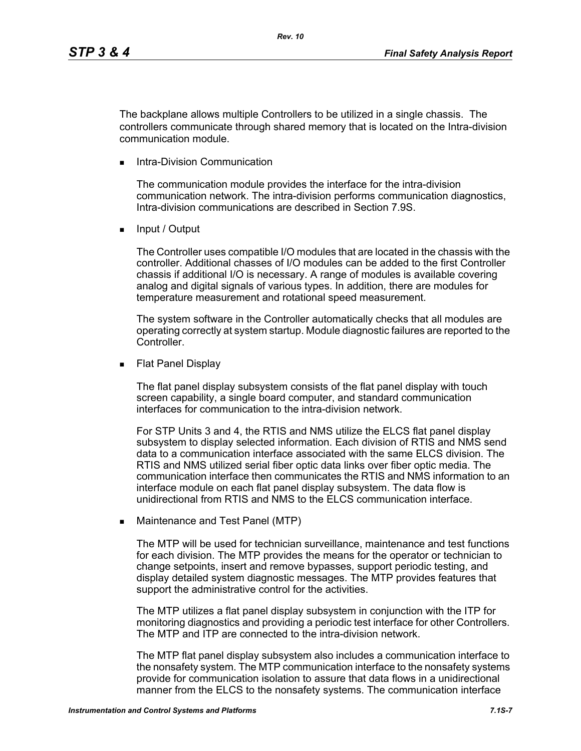The backplane allows multiple Controllers to be utilized in a single chassis. The controllers communicate through shared memory that is located on the Intra-division communication module.

Intra-Division Communication

The communication module provides the interface for the intra-division communication network. The intra-division performs communication diagnostics, Intra-division communications are described in Section 7.9S.

**Input / Output** 

The Controller uses compatible I/O modules that are located in the chassis with the controller. Additional chasses of I/O modules can be added to the first Controller chassis if additional I/O is necessary. A range of modules is available covering analog and digital signals of various types. In addition, there are modules for temperature measurement and rotational speed measurement.

The system software in the Controller automatically checks that all modules are operating correctly at system startup. Module diagnostic failures are reported to the Controller.

**Flat Panel Display** 

The flat panel display subsystem consists of the flat panel display with touch screen capability, a single board computer, and standard communication interfaces for communication to the intra-division network.

For STP Units 3 and 4, the RTIS and NMS utilize the ELCS flat panel display subsystem to display selected information. Each division of RTIS and NMS send data to a communication interface associated with the same ELCS division. The RTIS and NMS utilized serial fiber optic data links over fiber optic media. The communication interface then communicates the RTIS and NMS information to an interface module on each flat panel display subsystem. The data flow is unidirectional from RTIS and NMS to the ELCS communication interface.

**Maintenance and Test Panel (MTP)** 

The MTP will be used for technician surveillance, maintenance and test functions for each division. The MTP provides the means for the operator or technician to change setpoints, insert and remove bypasses, support periodic testing, and display detailed system diagnostic messages. The MTP provides features that support the administrative control for the activities.

The MTP utilizes a flat panel display subsystem in conjunction with the ITP for monitoring diagnostics and providing a periodic test interface for other Controllers. The MTP and ITP are connected to the intra-division network.

The MTP flat panel display subsystem also includes a communication interface to the nonsafety system. The MTP communication interface to the nonsafety systems provide for communication isolation to assure that data flows in a unidirectional manner from the ELCS to the nonsafety systems. The communication interface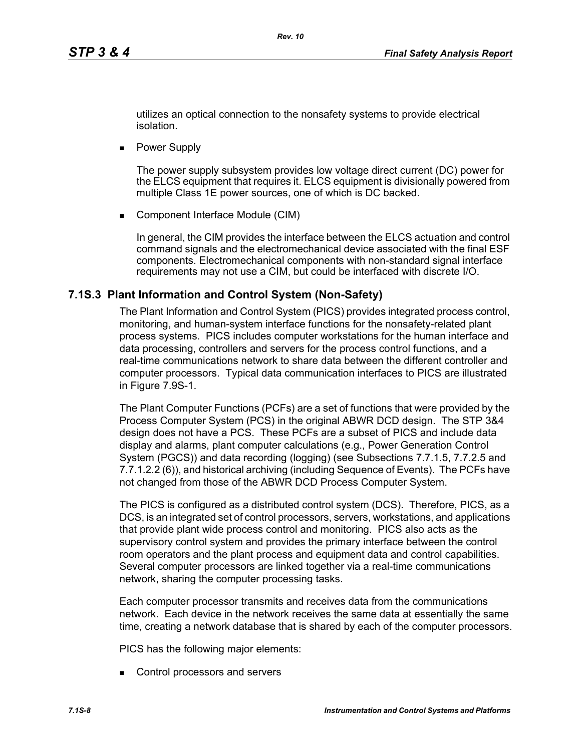utilizes an optical connection to the nonsafety systems to provide electrical isolation.

**Power Supply** 

The power supply subsystem provides low voltage direct current (DC) power for the ELCS equipment that requires it. ELCS equipment is divisionally powered from multiple Class 1E power sources, one of which is DC backed.

■ Component Interface Module (CIM)

In general, the CIM provides the interface between the ELCS actuation and control command signals and the electromechanical device associated with the final ESF components. Electromechanical components with non-standard signal interface requirements may not use a CIM, but could be interfaced with discrete I/O.

### **7.1S.3 Plant Information and Control System (Non-Safety)**

The Plant Information and Control System (PICS) provides integrated process control, monitoring, and human-system interface functions for the nonsafety-related plant process systems. PICS includes computer workstations for the human interface and data processing, controllers and servers for the process control functions, and a real-time communications network to share data between the different controller and computer processors. Typical data communication interfaces to PICS are illustrated in Figure 7.9S-1.

The Plant Computer Functions (PCFs) are a set of functions that were provided by the Process Computer System (PCS) in the original ABWR DCD design. The STP 3&4 design does not have a PCS. These PCFs are a subset of PICS and include data display and alarms, plant computer calculations (e.g., Power Generation Control System (PGCS)) and data recording (logging) (see Subsections 7.7.1.5, 7.7.2.5 and 7.7.1.2.2 (6)), and historical archiving (including Sequence of Events). The PCFs have not changed from those of the ABWR DCD Process Computer System.

The PICS is configured as a distributed control system (DCS). Therefore, PICS, as a DCS, is an integrated set of control processors, servers, workstations, and applications that provide plant wide process control and monitoring. PICS also acts as the supervisory control system and provides the primary interface between the control room operators and the plant process and equipment data and control capabilities. Several computer processors are linked together via a real-time communications network, sharing the computer processing tasks.

Each computer processor transmits and receives data from the communications network. Each device in the network receives the same data at essentially the same time, creating a network database that is shared by each of the computer processors.

PICS has the following major elements:

Control processors and servers